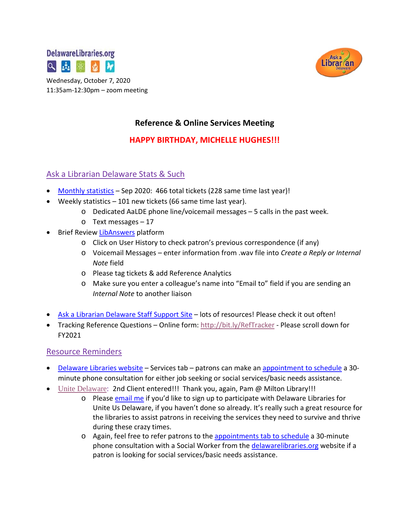



11:35am-12:30pm – zoom meeting

# **Reference & Online Services Meeting**

# **HAPPY BIRTHDAY, MICHELLE HUGHES!!!**

# Ask a Librarian Delaware Stats & Such

- [Monthly statistics](https://aalstaff.lib.de.us/home/reports/fy21-monthly-reports/) Sep 2020: 466 total tickets (228 same time last year)!
- Weekly statistics 101 new tickets (66 same time last year).
	- $\circ$  Dedicated AaLDE phone line/voicemail messages  $-5$  calls in the past week.
	- o Text messages 17
- Brief Revie[w LibAnswers](https://delawarelibraries.libapps.com/libapps/login.php?site_id=2221&target=%2Fadmin%2Fhome) platform
	- o Click on User History to check patron's previous correspondence (if any)
	- o Voicemail Messages enter information from .wav file into *Create a Reply or Internal Note* field
	- o Please tag tickets & add Reference Analytics
	- o Make sure you enter a colleague's name into "Email to" field if you are sending an *Internal Note* to another liaison
- [Ask a Librarian Delaware Staff Support Site](https://aalstaff.lib.de.us/) lots of resources! Please check it out often!
- Tracking Reference Questions Online form: <http://bit.ly/RefTracker> Please scroll down for FY2021

#### Resource Reminders

- [Delaware Libraries website](https://lib.de.us/) Services tab patrons can make an [appointment to schedule](https://delawarelibraries.libcal.com/appointments/) a 30minute phone consultation for either job seeking or social services/basic needs assistance.
- [Unite Delaware:](https://delaware.uniteus.com/) 2nd Client entered!!! Thank you, again, Pam @ Milton Library!!!
	- o Please [email me](mailto:missy.williams@lib.de.us) if you'd like to sign up to participate with Delaware Libraries for Unite Us Delaware, if you haven't done so already. It's really such a great resource for the libraries to assist patrons in receiving the services they need to survive and thrive during these crazy times.
	- o Again, feel free to refer patrons to the [appointments tab to schedule](https://delawarelibraries.libcal.com/appointments/) a 30-minute phone consultation with a Social Worker from the [delawarelibraries.org](https://lib.de.us/) website if a patron is looking for social services/basic needs assistance.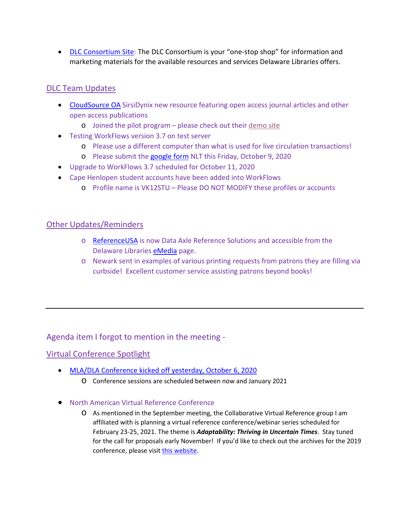• [DLC Consortium Site:](https://consortium.lib.de.us/) The DLC Consortium is your "one-stop shop" for information and marketing materials for the available resources and services Delaware Libraries offers.

# DLC Team Updates

- [CloudSource OA](https://www.sirsidynix.com/cloudsource-oa-public/) SirsiDynix new resource featuring open access journal articles and other open access publications
	- o Joined the pilot program please check out their [demo site](https://salesdemo1.psst-sales.sirsidynix.com/client/en_US/csoa/)
- Testing WorkFlows version 3.7 on test server
	- o Please use a different computer than what is used for live circulation transactions!
	- o Please submit the [google form](https://docs.google.com/forms/d/e/1FAIpQLSdK5uy6y7o0h5d8Eh-15R2fOe5Cl0USLrAOlzGSVFDBCMFSeQ/viewform) NLT this Friday, October 9, 2020
- Upgrade to WorkFlows 3.7 scheduled for October 11, 2020
- Cape Henlopen student accounts have been added into WorkFlows
	- o Profile name is VK12STU Please DO NOT MODIFY these profiles or accounts

#### Other Updates/Reminders

- o [ReferenceUSA](https://www.referenceusa.com/Static/TermsAndConditions/True/1154f214-e37f-4b45-a4c2-c040c10b60bc/https%5E3a%5E2f%5E2fwww.referenceusa.com%5E2f/ValidReferringUrlChallengeRequired) is now Data Axle Reference Solutions and accessible from the Delaware Libraries [eMedia](https://lib.de.us/emedia/) page.
- o Newark sent in examples of various printing requests from patrons they are filling via curbside! Excellent customer service assisting patrons beyond books!

Agenda item I forgot to mention in the meeting -

### Virtual Conference Spotlight

- [MLA/DLA Conference](https://www.mladlacon.com/conference) kicked off yesterday, October 6, 2020
	- o Conference sessions are scheduled between now and January 2021
- North American Virtual Reference Conference
	- o As mentioned in the September meeting, the Collaborative Virtual Reference group I am affiliated with is planning a virtual reference conference/webinar series scheduled for February 23-25, 2021. The theme is *Adaptability: Thriving in Uncertain Times*. Stay tuned for the call for proposals early November! If you'd like to check out the archives for the 2019 conference, please visit [this website.](https://sites.google.com/view/navrconference/)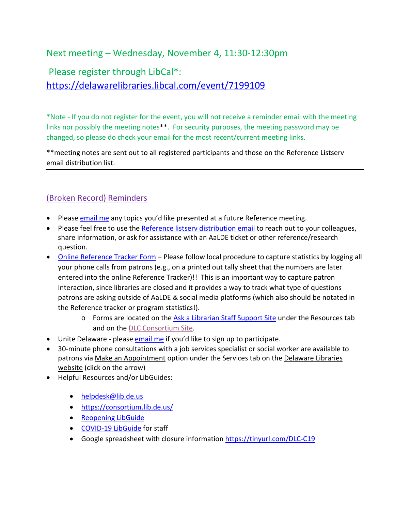# Next meeting – Wednesday, November 4, 11:30-12:30pm

# Please register through LibCal\*: <https://delawarelibraries.libcal.com/event/7199109>

\*Note - If you do not register for the event, you will not receive a reminder email with the meeting links nor possibly the meeting notes\*\*. For security purposes, the meeting password may be changed, so please do check your email for the most recent/current meeting links.

\*\*meeting notes are sent out to all registered participants and those on the Reference Listserv email distribution list.

# (Broken Record) Reminders

- Please [email me](mailto:missy.williams@lib.de.us) any topics you'd like presented at a future Reference meeting.
- Please feel free to use the [Reference listserv distribution email](mailto:reference@listserv.lib.de.us) to reach out to your colleagues, share information, or ask for assistance with an AaLDE ticket or other reference/research question.
- [Online Reference Tracker Form](https://de.countingopinions.com/s/feedback/index.php?survey_id=598&loc_id=en_CA) Please follow local procedure to capture statistics by logging all your phone calls from patrons (e.g., on a printed out tally sheet that the numbers are later entered into the online Reference Tracker)!! This is an important way to capture patron interaction, since libraries are closed and it provides a way to track what type of questions patrons are asking outside of AaLDE & social media platforms (which also should be notated in the Reference tracker or program statistics!).
	- o Forms are located on the [Ask a Librarian Staff Support Site](https://aalstaff.lib.de.us/resources/) under the Resources tab and on the [DLC Consortium Site.](https://consortium.lib.de.us/)
- Unite Delaware please [email me](mailto:missy.williams@lib.de.us) if you'd like to sign up to participate.
- 30-minute phone consultations with a job services specialist or social worker are available to patrons via [Make an Appointment](https://delawarelibraries.libcal.com/appointments/) option under the Services tab on the Delaware Libraries [website](https://lib.de.us/) (click on the arrow)
- Helpful Resources and/or LibGuides:
	- [helpdesk@lib.de.us](mailto:helpdesk@lib.de.us)
	- <https://consortium.lib.de.us/>
	- [Reopening LibGuide](https://guides.lib.de.us/delibraries/COVID-19/reopening)
	- [COVID-19 LibGuide](https://guides.lib.de.us/delibraries/COVID-19) for staff
	- Google spreadsheet with closure information<https://tinyurl.com/DLC-C19>